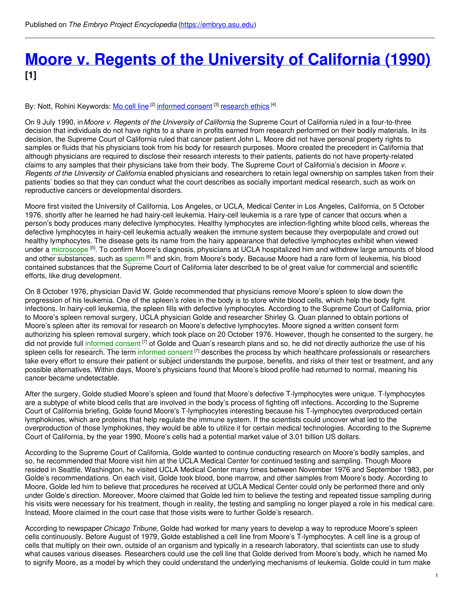## **Moore v. Regents of the [University](https://embryo.asu.edu/pages/moore-v-regents-university-california-1990) of California (1990) [1]**

By: Nott, Rohini Keywords: <u>Mo [cell](https://embryo.asu.edu/keywords/mo-cell-line) line</u> <sup>[2]</sup> i<u>nformed consent</u> <sup>[3]</sup> [research](https://embryo.asu.edu/keywords/research-ethics) ethics <sup>[4]</sup>

On 9 July 1990, in*Moore v. Regents of the University of California*, the Supreme Court of California ruled in a four-to-three decision that individuals do not have rights to a share in profits earned from research performed on their bodily materials. In its decision, the Supreme Court of California ruled that cancer patient John L. Moore did not have personal property rights to samples or fluids that his physicians took from his body for research purposes. Moore created the precedent in California that although physicians are required to disclose their research interests to their patients, patients do not have property-related claims to any samples that their physicians take from their body. The Supreme Court of California's decision in *Moore v. Regents of the University of California* enabled physicians and researchers to retain legal ownership on samples taken from their patients' bodies so that they can conduct what the court describes as socially important medical research, such as work on reproductive cancers or developmental disorders.

Moore first visited the University of California, Los Angeles, or UCLA, Medical Center in Los Angeles, California, on 5 October 1976, shortly after he learned he had hairy-cell leukemia. Hairy-cell leukemia is a rare type of cancer that occurs when a person's body produces many defective lymphocytes. Healthy lymphocytes are infection-fighting white blood cells, whereas the defective lymphocytes in hairy-cell leukemia actually weaken the immune system because they overpopulate and crowd out healthy lymphocytes. The disease gets its name from the hairy appearance that defective lymphocytes exhibit when viewed under a [microscope](https://embryo.asu.edu/search?text=microscope) <sup>[5]</sup>. To confirm Moore's diagnosis, physicians at UCLA hospitalized him and withdrew large amounts of blood and other substances, such as [sperm](https://embryo.asu.edu/search?text=sperm) [6] and skin, from Moore's body. Because Moore had a rare form of leukemia, his blood contained substances that the Supreme Court of California later described to be of great value for commercial and scientific efforts, like drug development.

On 8 October 1976, physician David W. Golde recommended that physicians remove Moore's spleen to slow down the progression of his leukemia. One of the spleen's roles in the body is to store white blood cells, which help the body fight infections. In hairy-cell leukemia, the spleen fills with defective lymphocytes. According to the Supreme Court of California, prior to Moore's spleen removal surgery, UCLA physician Golde and researcher Shirley G. Quan planned to obtain portions of Moore's spleen after its removal for research on Moore's defective lymphocytes. Moore signed a written consent form authorizing his spleen removal surgery, which took place on 20 October 1976. However, though he consented to the surgery, he did not provide full [informed](https://embryo.asu.edu/search?text=informed%20consent) consent <sup>[7]</sup> of Golde and Quan's research plans and so, he did not directly authorize the use of his spleen cells for research. The term [informed](https://embryo.asu.edu/search?text=informed%20consent) consent <sup>[7]</sup> describes the process by which healthcare professionals or researchers take every effort to ensure their patient or subject understands the purpose, benefits, and risks of their test or treatment, and any possible alternatives. Within days, Moore's physicians found that Moore's blood profile had returned to normal, meaning his cancer became undetectable.

After the surgery, Golde studied Moore's spleen and found that Moore's defective T-lymphocytes were unique. T-lymphocytes are a subtype of white blood cells that are involved in the body's process of fighting off infections. According to the Supreme Court of California briefing, Golde found Moore's T-lymphocytes interesting because his T-lymphocytes overproduced certain lymphokines, which are proteins that help regulate the immune system. If the scientists could uncover what led to the overproduction of those lymphokines, they would be able to utilize it for certain medical technologies. According to the Supreme Court of California, by the year 1990, Moore's cells had a potential market value of 3.01 billion US dollars.

According to the Supreme Court of California, Golde wanted to continue conducting research on Moore's bodily samples, and so, he recommended that Moore visit him at the UCLA Medical Center for continued testing and sampling. Though Moore resided in Seattle, Washington, he visited UCLA Medical Center many times between November 1976 and September 1983, per Golde's recommendations. On each visit, Golde took blood, bone marrow, and other samples from Moore's body. According to Moore, Golde led him to believe that procedures he received at UCLA Medical Center could only be performed there and only under Golde's direction. Moreover, Moore claimed that Golde led him to believe the testing and repeated tissue sampling during his visits were necessary for his treatment, though in reality, the testing and sampling no longer played a role in his medical care. Instead, Moore claimed in the court case that those visits were to further Golde's research.

According to newspaper *Chicago Tribune*, Golde had worked for many years to develop a way to reproduce Moore's spleen cells continuously. Before August of 1979, Golde established a cell line from Moore's T-lymphocytes. A cell line is a group of cells that multiply on their own, outside of an organism and typically in a research laboratory, that scientists can use to study what causes various diseases. Researchers could use the cell line that Golde derived from Moore's body, which he named Mo to signify Moore, as a model by which they could understand the underlying mechanisms of leukemia. Golde could in turn make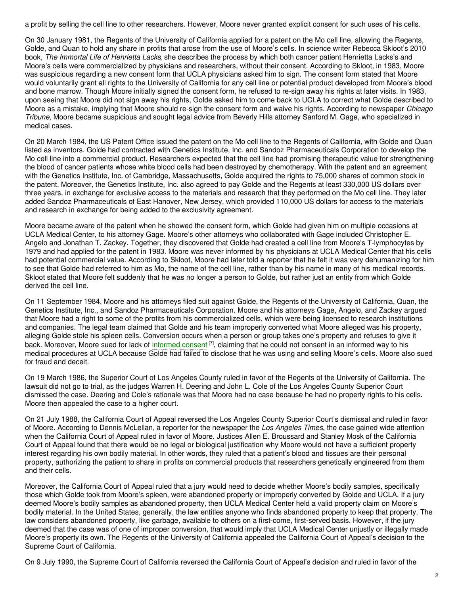a profit by selling the cell line to other researchers. However, Moore never granted explicit consent for such uses of his cells.

On 30 January 1981, the Regents of the University of California applied for a patent on the Mo cell line, allowing the Regents, Golde, and Quan to hold any share in profits that arose from the use of Moore's cells. In science writer Rebecca Skloot's 2010 book, *The Immortal Life of Henrietta Lacks*, she describes the process by which both cancer patient Henrietta Lacks's and Moore's cells were commercialized by physicians and researchers, without their consent. According to Skloot, in 1983, Moore was suspicious regarding a new consent form that UCLA physicians asked him to sign. The consent form stated that Moore would voluntarily grant all rights to the University of California for any cell line or potential product developed from Moore's blood and bone marrow. Though Moore initially signed the consent form, he refused to re-sign away his rights at later visits. In 1983, upon seeing that Moore did not sign away his rights, Golde asked him to come back to UCLA to correct what Golde described to Moore as a mistake, implying that Moore should re-sign the consent form and waive his rights. According to newspaper *Chicago Tribune*, Moore became suspicious and sought legal advice from Beverly Hills attorney Sanford M. Gage, who specialized in medical cases.

On 20 March 1984, the US Patent Office issued the patent on the Mo cell line to the Regents of California, with Golde and Quan listed as inventors. Golde had contracted with Genetics Institute, Inc. and Sandoz Pharmaceuticals Corporation to develop the Mo cell line into a commercial product. Researchers expected that the cell line had promising therapeutic value for strengthening the blood of cancer patients whose white blood cells had been destroyed by chemotherapy. With the patent and an agreement with the Genetics Institute, Inc. of Cambridge, Massachusetts, Golde acquired the rights to 75,000 shares of common stock in the patent. Moreover, the Genetics Institute, Inc. also agreed to pay Golde and the Regents at least 330,000 US dollars over three years, in exchange for exclusive access to the materials and research that they performed on the Mo cell line. They later added Sandoz Pharmaceuticals of East Hanover, New Jersey, which provided 110,000 US dollars for access to the materials and research in exchange for being added to the exclusivity agreement.

Moore became aware of the patent when he showed the consent form, which Golde had given him on multiple occasions at UCLA Medical Center, to his attorney Gage. Moore's other attorneys who collaborated with Gage included Christopher E. Angelo and Jonathan T. Zackey. Together, they discovered that Golde had created a cell line from Moore's T-lymphocytes by 1979 and had applied for the patent in 1983. Moore was never informed by his physicians at UCLA Medical Center that his cells had potential commercial value. According to Skloot, Moore had later told a reporter that he felt it was very dehumanizing for him to see that Golde had referred to him as Mo, the name of the cell line, rather than by his name in many of his medical records. Skloot stated that Moore felt suddenly that he was no longer a person to Golde, but rather just an entity from which Golde derived the cell line.

On 11 September 1984, Moore and his attorneys filed suit against Golde, the Regents of the University of California, Quan, the Genetics Institute, Inc., and Sandoz Pharmaceuticals Corporation. Moore and his attorneys Gage, Angelo, and Zackey argued that Moore had a right to some of the profits from his commercialized cells, which were being licensed to research institutions and companies. The legal team claimed that Golde and his team improperly converted what Moore alleged was his property, alleging Golde stole his spleen cells. Conversion occurs when a person or group takes one's property and refuses to give it back. Moreover, Moore sued for lack of [informed](https://embryo.asu.edu/search?text=informed%20consent) consent<sup>[7]</sup>, claiming that he could not consent in an informed way to his medical procedures at UCLA because Golde had failed to disclose that he was using and selling Moore's cells. Moore also sued for fraud and deceit.

On 19 March 1986, the Superior Court of Los Angeles County ruled in favor of the Regents of the University of California. The lawsuit did not go to trial, as the judges Warren H. Deering and John L. Cole of the Los Angeles County Superior Court dismissed the case. Deering and Cole's rationale was that Moore had no case because he had no property rights to his cells. Moore then appealed the case to a higher court.

On 21 July 1988, the California Court of Appeal reversed the Los Angeles County Superior Court's dismissal and ruled in favor of Moore. According to Dennis McLellan, a reporter for the newspaper the *Los Angeles Times*, the case gained wide attention when the California Court of Appeal ruled in favor of Moore. Justices Allen E. Broussard and Stanley Mosk of the California Court of Appeal found that there would be no legal or biological justification why Moore would not have a sufficient property interest regarding his own bodily material. In other words, they ruled that a patient's blood and tissues are their personal property, authorizing the patient to share in profits on commercial products that researchers genetically engineered from them and their cells.

Moreover, the California Court of Appeal ruled that a jury would need to decide whether Moore's bodily samples, specifically those which Golde took from Moore's spleen, were abandoned property or improperly converted by Golde and UCLA. If a jury deemed Moore's bodily samples as abandoned property, then UCLA Medical Center held a valid property claim on Moore's bodily material. In the United States, generally, the law entitles anyone who finds abandoned property to keep that property. The law considers abandoned property, like garbage, available to others on a first-come, first-served basis. However, if the jury deemed that the case was of one of improper conversion, that would imply that UCLA Medical Center unjustly or illegally made Moore's property its own. The Regents of the University of California appealed the California Court of Appeal's decision to the Supreme Court of California.

On 9 July 1990, the Supreme Court of California reversed the California Court of Appeal's decision and ruled in favor of the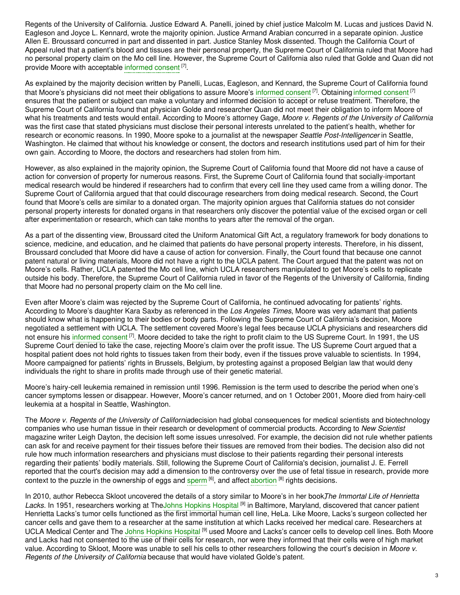Regents of the University of California. Justice Edward A. Panelli, joined by chief justice Malcolm M. Lucas and justices David N. Eagleson and Joyce L. Kennard, wrote the majority opinion. Justice Armand Arabian concurred in a separate opinion. Justice Allen E. Broussard concurred in part and dissented in part. Justice Stanley Mosk dissented. Though the California Court of Appeal ruled that a patient's blood and tissues are their personal property, the Supreme Court of California ruled that Moore had no personal property claim on the Mo cell line. However, the Supreme Court of California also ruled that Golde and Quan did not provide Moore with acceptable [informed](https://embryo.asu.edu/search?text=informed%20consent) consent [7].

As explained by the majority decision written by Panelli, Lucas, Eagleson, and Kennard, the Supreme Court of California found that Moore's physicians did not meet their obligations to assure Moore's [informed](https://embryo.asu.edu/search?text=informed%20consent) consent <sup>[7]</sup>. Obtaining informed consent <sup>[7]</sup> ensures that the patient or subject can make a voluntary and informed decision to accept or refuse treatment. Therefore, the Supreme Court of California found that physician Golde and researcher Quan did not meet their obligation to inform Moore of what his treatments and tests would entail. According to Moore's attorney Gage, *Moore v. Regents of the University of California* was the first case that stated physicians must disclose their personal interests unrelated to the patient's health, whether for research or economic reasons. In 1990, Moore spoke to a journalist at the newspaper *Seattle Post-Intelligencer* in Seattle, Washington. He claimed that without his knowledge or consent, the doctors and research institutions used part of him for their own gain. According to Moore, the doctors and researchers had stolen from him.

However, as also explained in the majority opinion, the Supreme Court of California found that Moore did not have a cause of action for conversion of property for numerous reasons. First, the Supreme Court of California found that socially-important medical research would be hindered if researchers had to confirm that every cell line they used came from a willing donor. The Supreme Court of California argued that that could discourage researchers from doing medical research. Second, the Court found that Moore's cells are similar to a donated organ. The majority opinion argues that California statues do not consider personal property interests for donated organs in that researchers only discover the potential value of the excised organ or cell after experimentation or research, which can take months to years after the removal of the organ.

As a part of the dissenting view, Broussard cited the Uniform Anatomical Gift Act, a regulatory framework for body donations to science, medicine, and education, and he claimed that patients do have personal property interests. Therefore, in his dissent, Broussard concluded that Moore did have a cause of action for conversion. Finally, the Court found that because one cannot patent natural or living materials, Moore did not have a right to the UCLA patent. The Court argued that the patent was not on Moore's cells. Rather, UCLA patented the Mo cell line, which UCLA researchers manipulated to get Moore's cells to replicate outside his body. Therefore, the Supreme Court of California ruled in favor of the Regents of the University of California, finding that Moore had no personal property claim on the Mo cell line.

Even after Moore's claim was rejected by the Supreme Court of California, he continued advocating for patients' rights. According to Moore's daughter Kara Saxby as referenced in the *Los Angeles Times*, Moore was very adamant that patients should know what is happening to their bodies or body parts. Following the Supreme Court of California's decision, Moore negotiated a settlement with UCLA. The settlement covered Moore's legal fees because UCLA physicians and researchers did not ensure his [informed](https://embryo.asu.edu/search?text=informed%20consent) consent <sup>[7]</sup>. Moore decided to take the right to profit claim to the US Supreme Court. In 1991, the US Supreme Court denied to take the case, rejecting Moore's claim over the profit issue. The US Supreme Court argued that a hospital patient does not hold rights to tissues taken from their body, even if the tissues prove valuable to scientists. In 1994, Moore campaigned for patients' rights in Brussels, Belgium, by protesting against a proposed Belgian law that would deny individuals the right to share in profits made through use of their genetic material.

Moore's hairy-cell leukemia remained in remission until 1996. Remission is the term used to describe the period when one's cancer symptoms lessen or disappear. However, Moore's cancer returned, and on 1 October 2001, Moore died from hairy-cell leukemia at a hospital in Seattle, Washington.

The *Moore v. Regents of the University of California*decision had global consequences for medical scientists and biotechnology companies who use human tissue in their research or development of commercial products. According to *New Scientist* magazine writer Leigh Dayton, the decision left some issues unresolved. For example, the decision did not rule whether patients can ask for and receive payment for their tissues before their tissues are removed from their bodies. The decision also did not rule how much information researchers and physicians must disclose to their patients regarding their personal interests regarding their patients' bodily materials. Still, following the Supreme Court of California's decision, journalist J. E. Ferrell reported that the court's decision may add a dimension to the controversy over the use of fetal tissue in research, provide more context to the puzzle in the ownership of eggs and [sperm](https://embryo.asu.edu/search?text=sperm) <sup>[6]</sup>, and affect [abortion](https://embryo.asu.edu/search?text=abortion) <sup>[8]</sup> rights decisions.

In 2010, author Rebecca Skloot uncovered the details of a story similar to Moore's in her book*T*, *he Immortal Life of Henrietta* Lacks. In 1951, researchers working at TheJohns [Hopkins](https://embryo.asu.edu/search?text=Johns%20Hopkins%20Hospital) Hospital <sup>[9]</sup> in Baltimore, Maryland, discovered that cancer patient Henrietta Lacks's tumor cells functioned as the first immortal human cell line, HeLa. Like Moore, Lacks's surgeon collected her cancer cells and gave them to a researcher at the same institution at which Lacks received her medical care. Researchers at UCLA Medical Center and The Johns [Hopkins](https://embryo.asu.edu/search?text=Johns%20Hopkins%20Hospital) Hospital <sup>[9]</sup> used Moore and Lacks's cancer cells to develop cell lines. Both Moore and Lacks had not consented to the use of their cells for research, nor were they informed that their cells were of high market value. According to Skloot, Moore was unable to sell his cells to other researchers following the court's decision in *Moore v. Regents of the University of California* because that would have violated Golde's patent.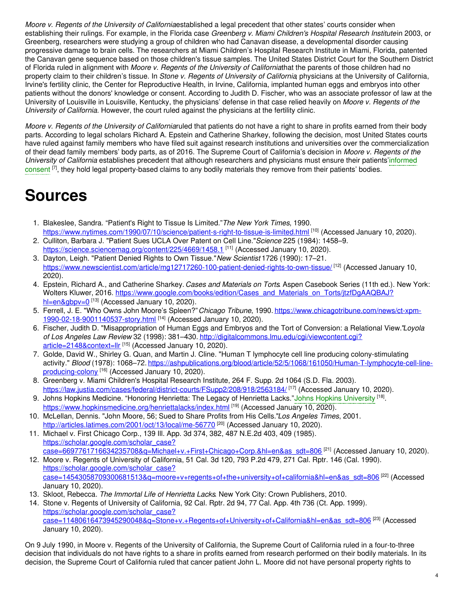*Moore v. Regents of the University of California*established a legal precedent that other states' courts consider when establishing their rulings. For example, in the Florida case *Greenberg v. Miami Children's Hospital Research Institute*in 2003, or Greenberg, researchers were studying a group of children who had Canavan disease, a developmental disorder causing progressive damage to brain cells. The researchers at Miami Children's Hospital Research Institute in Miami, Florida, patented the Canavan gene sequence based on those children's tissue samples. The United States District Court for the Southern District of Florida ruled in alignment with *Moore v. Regents of the University of California*that the parents of those children had no property claim to their children's tissue. In *Stone v. Regents of University of California*, physicians at the University of California, Irvine's fertility clinic, the Center for Reproductive Health, in Irvine, California, implanted human eggs and embryos into other patients without the donors' knowledge or consent. According to Judith D. Fischer, who was an associate professor of law at the University of Louisville in Louisville, Kentucky, the physicians' defense in that case relied heavily on *Moore v. Regents of the University of California*. However, the court ruled against the physicians at the fertility clinic.

*Moore v. Regents of the University of California*ruled that patients do not have a right to share in profits earned from their body parts. According to legal scholars Richard A. Epstein and Catherine Sharkey, following the decision, most United States courts have ruled against family members who have filed suit against research institutions and universities over the commercialization of their dead family members' body parts, as of 2016. The Supreme Court of California's decision in *Moore v. Regents of the University of California* establishes precedent that although researchers and physicians must ensure their [patients'informed](https://embryo.asu.edu/search?text=informed%20consent) consent <sup>[7]</sup>, they hold legal property-based claims to any bodily materials they remove from their patients' bodies.

# **Sources**

- 1. Blakeslee, Sandra. "Patient's Right to Tissue Is Limited."*The New York Times*, 1990. <https://www.nytimes.com/1990/07/10/science/patient-s-right-to-tissue-is-limited.html> <sup>[10]</sup> (Accessed January 10, 2020).
- 2. Culliton, Barbara J. "Patient Sues UCLA Over Patent on Cell Line."*Science* 225 (1984): 1458–9. <https://science.sciencemag.org/content/225/4669/1458.1><sup>[11]</sup> (Accessed January 10, 2020).
- 3. Dayton, Leigh. "Patient Denied Rights to Own Tissue."*New Scientist* 1726 (1990): 17–21. <https://www.newscientist.com/article/mg12717260-100-patient-denied-rights-to-own-tissue/> <sup>[12]</sup> (Accessed January 10, 2020).
- 4. Epstein, Richard A., and Catherine Sharkey. *Cases and Materials on Torts*. Aspen Casebook Series (11th ed.). New York: Wolters Kluwer, 2016. [https://www.google.com/books/edition/Cases\\_and\\_Materials\\_on\\_Torts/jtzfDgAAQBAJ?](https://www.google.com/books/edition/Cases_and_Materials_on_Torts/jtzfDgAAQBAJ?hl=en&gbpv=0) hl=en&gbpv=0<sup>[13]</sup> (Accessed January 10, 2020).
- 5. Ferrell, J. E. "Who Owns John Moore's Spleen?"*Chicago Tribune*, 1990. [https://www.chicagotribune.com/news/ct-xpm-](https://www.chicagotribune.com/news/ct-xpm-1990-02-18-9001140537-story.html)1990-02-18-9001140537-story.html [14] (Accessed January 10, 2020).
- 6. Fischer, Judith D. "Misappropriation of Human Eggs and Embryos and the Tort of Conversion: a Relational View."*Loyola of Los Angeles Law Review* 32 (1998): 381–430. [http://digitalcommons.lmu.edu/cgi/viewcontent.cgi?](http://digitalcommons.lmu.edu/cgi/viewcontent.cgi?article=2148&context=llr) article=2148&context=llr<sup>[15]</sup> (Accessed January 10, 2020).
- 7. Golde, David W., Shirley G. Quan, and Martin J. Cline. "Human T lymphocyte cell line producing colony-stimulating activity." *Blood* (1978): 1068–72. [https://ashpublications.org/blood/article/52/5/1068/161050/Human-T-lymphocyte-cell-line](https://ashpublications.org/blood/article/52/5/1068/161050/Human-T-lymphocyte-cell-line-producing-colony)producing-colony <sup>[16]</sup> (Accessed January 10, 2020).
- 8. Greenberg v. Miami Children's Hospital Research Institute, 264 F. Supp. 2d 1064 (S.D. Fla. 2003). <https://law.justia.com/cases/federal/district-courts/FSupp2/208/918/2563184/> [<sup>17]</sup> (Accessed January 10, 2020).
- 9. Johns Hopkins Medicine. "Honoring Henrietta: The Legacy of Henrietta Lacks."Johns Hopkins [University](https://embryo.asu.edu/search?text=Johns%20Hopkins%20University) <sup>[18]</sup>. <https://www.hopkinsmedicine.org/henriettalacks/index.html> [19] (Accessed January 10, 2020).
- 10. McLellan, Dennis. "John Moore, 56; Sued to Share Profits from His Cells."*Los Angeles Times*, 2001. <http://articles.latimes.com/2001/oct/13/local/me-56770><sup>[20]</sup> (Accessed January 10, 2020).
- 11. Michael v. First Chicago Corp., 139 Ill. App. 3d 374, 382, 487 N.E.2d 403, 409 (1985). https://scholar.google.com/scholar\_case? <u>[case=6697761716634235708&q=Michael+v.+First+Chicago+Corp.&hl=en&as\\_sdt=806](https://scholar.google.com/scholar_case?case=6697761716634235708&q=Michael+v.+First+Chicago+Corp.&hl=en&as_sdt=806)</u> <sup>[21]</sup> (Accessed January 10, 2020).
- 12. Moore v. Regents of University of California, 51 Cal. 3d 120, 793 P.2d 479, 271 Cal. Rptr. 146 (Cal. 1990). https://scholar.google.com/scholar\_case? [case=14543058709300681513&q=moore+v+regents+of+the+university+of+california&hl=en&as\\_sdt=806](https://scholar.google.com/scholar_case?case=14543058709300681513&q=moore+v+regents+of+the+university+of+california&hl=en&as_sdt=806) [22] (Accessed January 10, 2020).
- 13. Skloot, Rebecca. *The Immortal Life of Henrietta Lacks*. New York City: Crown Publishers, 2010.
- 14. Stone v. Regents of University of California, 92 Cal. Rptr. 2d 94, 77 Cal. App. 4th 736 (Ct. App. 1999). https://scholar.google.com/scholar\_case?

<u>[case=11480616473945290048&q=Stone+v.+Regents+of+University+of+California&hl=en&as\\_sdt=806](https://scholar.google.com/scholar_case?case=11480616473945290048&q=Stone+v.+Regents+of+University+of+California&hl=en&as_sdt=806)</u> <sup>[23]</sup> (Accessed January 10, 2020).

On 9 July 1990, in Moore v. Regents of the University of California, the Supreme Court of California ruled in a four-to-three decision that individuals do not have rights to a share in profits earned from research performed on their bodily materials. In its decision, the Supreme Court of California ruled that cancer patient John L. Moore did not have personal property rights to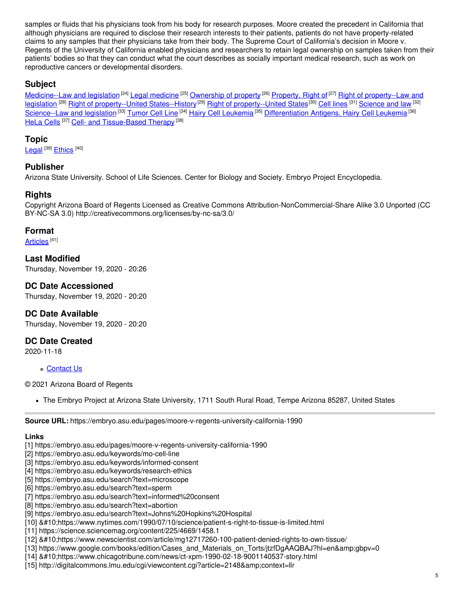samples or fluids that his physicians took from his body for research purposes. Moore created the precedent in California that although physicians are required to disclose their research interests to their patients, patients do not have property-related claims to any samples that their physicians take from their body. The Supreme Court of California's decision in Moore v. Regents of the University of California enabled physicians and researchers to retain legal ownership on samples taken from their patients' bodies so that they can conduct what the court describes as socially important medical research, such as work on reproductive cancers or developmental disorders.

### **Subject**

[Medicine--Law](https://embryo.asu.edu/library-congress-subject-headings/medicine-law-and-legislation) and legislation <sup>[24]</sup> Legal [medicine](https://embryo.asu.edu/library-congress-subject-headings/legal-medicine) <sup>[25]</sup> [Ownership](https://embryo.asu.edu/library-congress-subject-headings/ownership-property) of property <sup>[26]</sup> [Property,](https://embryo.asu.edu/library-congress-subject-headings/property-right) Right of <sup>[27]</sup> Right of property--Law and <u>legislation [28] Right of [property--United](https://embryo.asu.edu/library-congress-subject-headings/right-property-law-and-legislation) States--History [29] Right of property--United States[30] Cell [lines](https://embryo.asu.edu/library-congress-subject-headings/cell-lines) [31] [Science](https://embryo.asu.edu/library-congress-subject-headings/science-and-law) and law [32]</u> [Science--Law](https://embryo.asu.edu/library-congress-subject-headings/science-law-and-legislation) and legislation<sup>[33]</sup> [Tumor](https://embryo.asu.edu/medical-subject-headings/tumor-cell-line) Cell Line <sup>[34]</sup> Hairy Cell [Leukemia](https://embryo.asu.edu/medical-subject-headings/hairy-cell-leukemia) <sup>[35]</sup> [Differentiation](https://embryo.asu.edu/medical-subject-headings/differentiation-antigens-hairy-cell-leukemia) Antigens, Hairy Cell Leukemia <sup>[36]</sup> [HeLa](https://embryo.asu.edu/medical-subject-headings/hela-cells) Cells <sup>[37]</sup> Cell- and [Tissue-Based](https://embryo.asu.edu/medical-subject-headings/cell-and-tissue-based-therapy) Therapy <sup>[38]</sup>

#### **Topic**

[Legal](https://embryo.asu.edu/topics/legal) <sup>[39]</sup> [Ethics](https://embryo.asu.edu/topics/ethics) <sup>[40]</sup>

#### **Publisher**

Arizona State University. School of Life Sciences. Center for Biology and Society. Embryo Project Encyclopedia.

#### **Rights**

Copyright Arizona Board of Regents Licensed as Creative Commons Attribution-NonCommercial-Share Alike 3.0 Unported (CC BY-NC-SA 3.0) http://creativecommons.org/licenses/by-nc-sa/3.0/

#### **Format**

<u>[Articles](https://embryo.asu.edu/formats/articles)</u> <sup>[41]</sup>

#### **Last Modified**

Thursday, November 19, 2020 - 20:26

#### **DC Date Accessioned**

Thursday, November 19, 2020 - 20:20

#### **DC Date Available**

Thursday, November 19, 2020 - 20:20

## **DC Date Created**

2020-11-18

#### [Contact](https://embryo.asu.edu/contact) Us

© 2021 Arizona Board of Regents

The Embryo Project at Arizona State University, 1711 South Rural Road, Tempe Arizona 85287, United States

**Source URL:** https://embryo.asu.edu/pages/moore-v-regents-university-california-1990

#### **Links**

- [1] https://embryo.asu.edu/pages/moore-v-regents-university-california-1990
- [2] https://embryo.asu.edu/keywords/mo-cell-line
- [3] https://embryo.asu.edu/keywords/informed-consent
- [4] https://embryo.asu.edu/keywords/research-ethics
- [5] https://embryo.asu.edu/search?text=microscope
- [6] https://embryo.asu.edu/search?text=sperm
- [7] https://embryo.asu.edu/search?text=informed%20consent
- [8] https://embryo.asu.edu/search?text=abortion
- [9] https://embryo.asu.edu/search?text=Johns%20Hopkins%20Hospital
- [10] 
https://www.nytimes.com/1990/07/10/science/patient-s-right-to-tissue-is-limited.html

[11] https://science.sciencemag.org/content/225/4669/1458.1

- [12] 
https://www.newscientist.com/article/mg12717260-100-patient-denied-rights-to-own-tissue/
- [13] https://www.google.com/books/edition/Cases\_and\_Materials\_on\_Torts/jtzfDgAAQBAJ?hl=en&gbpv=0
- [14] 
https://www.chicagotribune.com/news/ct-xpm-1990-02-18-9001140537-story.html
- [15] http://digitalcommons.lmu.edu/cgi/viewcontent.cgi?article=2148&context=llr